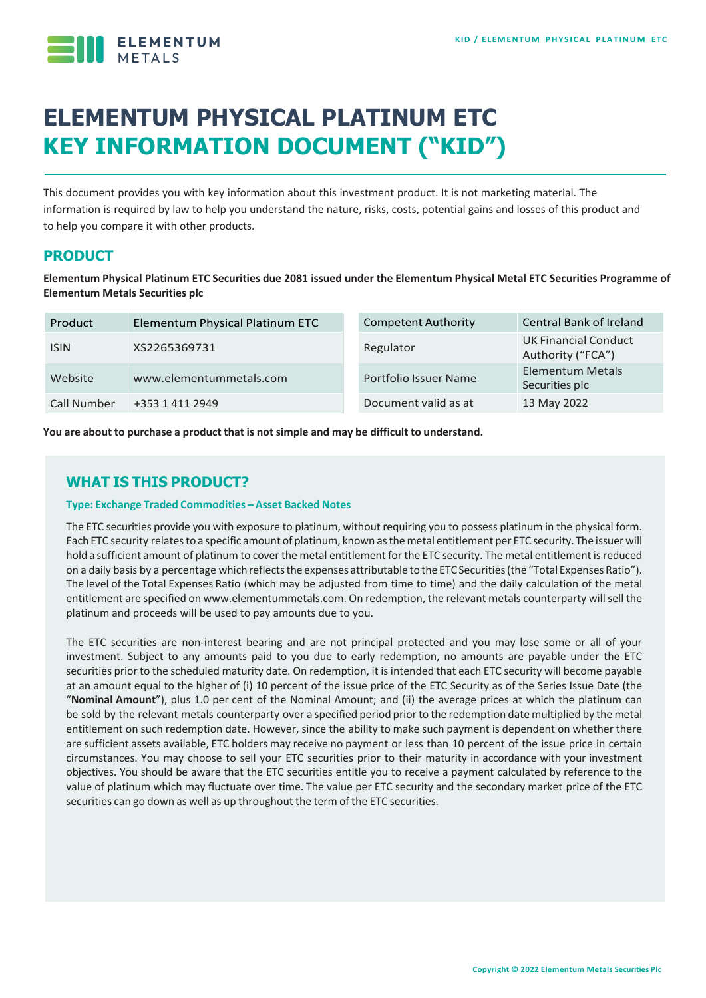

# **ELEMENTUM PHYSICAL PLATINUM ETC KEY INFORMATION DOCUMENT ("KID")**

This document provides you with key information about this investment product. It is not marketing material. The information is required by law to help you understand the nature, risks, costs, potential gains and losses of this product and to help you compare it with other products.

# **PRODUCT**

**Elementum Physical Platinum ETC Securities due 2081 issued under the Elementum Physical Metal ETC Securities Programme of Elementum Metals Securities plc**

| Product     | Elementum Physical Platinum ETC | <b>Competent Authority</b> | <b>Central Bank of Ireland</b>                   |
|-------------|---------------------------------|----------------------------|--------------------------------------------------|
| <b>ISIN</b> | XS2265369731                    | Regulator                  | <b>UK Financial Conduct</b><br>Authority ("FCA") |
| Website     | www.elementummetals.com         | Portfolio Issuer Name      | <b>Elementum Metals</b><br>Securities plc        |
| Call Number | +353 1 411 2949                 | Document valid as at       | 13 May 2022                                      |

**You are about to purchase a product that is notsimple and may be difficult to understand.**

# **WHAT IS THIS PRODUCT?**

#### **Type: Exchange Traded Commodities –Asset Backed Notes**

The ETC securities provide you with exposure to platinum, without requiring you to possess platinum in the physical form. Each ETC security relatesto a specific amount of platinum, known asthemetal entitlement per ETC security. The issuer will hold a sufficient amount of platinum to cover the metal entitlement for the ETC security. The metal entitlement is reduced on a daily basis by a percentage which reflects the expenses attributable to the ETC Securities (the "Total Expenses Ratio"). The level of the Total Expenses Ratio (which may be adjusted from time to time) and the daily calculation of the metal entitlement are specified on www.elementummetals.com. On redemption, the relevant metals counterparty willsell the platinum and proceeds will be used to pay amounts due to you.

The ETC securities are non-interest bearing and are not principal protected and you may lose some or all of your investment. Subject to any amounts paid to you due to early redemption, no amounts are payable under the ETC securities prior to the scheduled maturity date. On redemption, it is intended that each ETC security will become payable at an amount equal to the higher of (i) 10 percent of the issue price of the ETC Security as of the Series Issue Date (the "**Nominal Amount**"), plus 1.0 per cent of the Nominal Amount; and (ii) the average prices at which the platinum can be sold by the relevant metals counterparty over a specified period prior to the redemption date multiplied by the metal entitlement on such redemption date. However, since the ability to make such payment is dependent on whether there are sufficient assets available, ETC holders may receive no payment or less than 10 percent of the issue price in certain circumstances. You may choose to sell your ETC securities prior to their maturity in accordance with your investment objectives. You should be aware that the ETC securities entitle you to receive a payment calculated by reference to the value of platinum which may fluctuate over time. The value per ETC security and the secondary market price of the ETC securities can go down as well as up throughout the term of the ETC securities.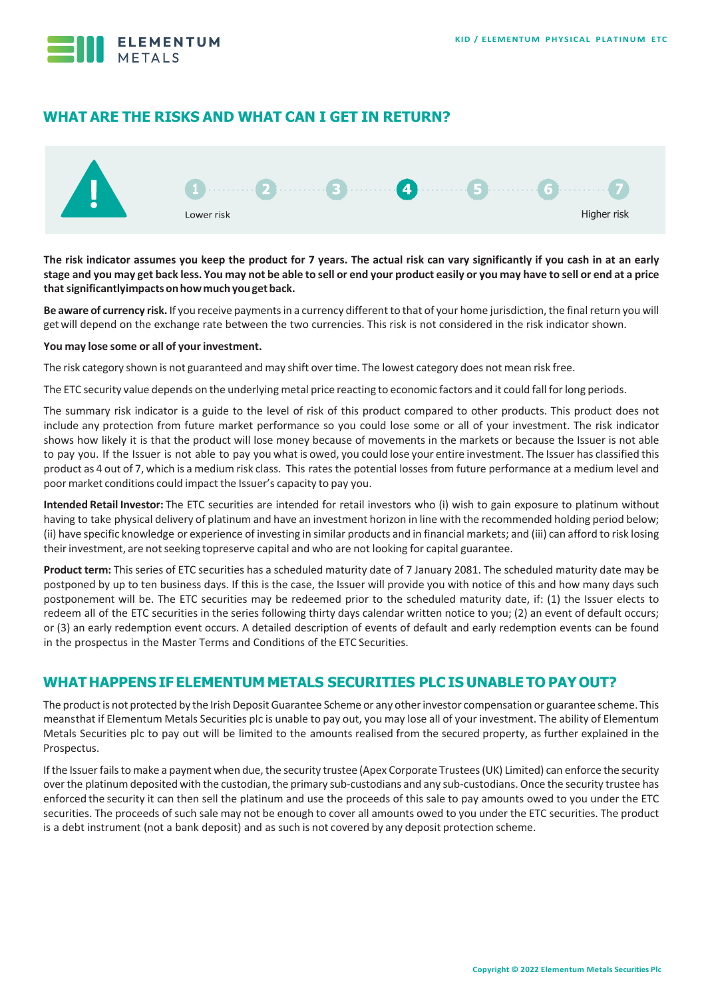

# **WHAT ARE THE RISKS AND WHAT CAN I GET IN RETURN?**



**The risk indicator assumes you keep the product for 7 years. The actual risk can vary significantly if you cash in at an early**  stage and you may get back less. You may not be able to sell or end your product easily or you may have to sell or end at a price **thatsignificantlyimpactsonhowmuchyougetback.**

Be aware of currency risk. If you receive payments in a currency different to that of your home jurisdiction, the final return you will getwill depend on the exchange rate between the two currencies. This risk is not considered in the risk indicator shown.

#### **You may lose some or all of your investment.**

The risk category shown is not guaranteed and may shift over time. The lowest category does not mean risk free.

The ETC security value depends on the underlying metal price reacting to economic factors and it could fall forlong periods.

The summary risk indicator is a guide to the level of risk of this product compared to other products. This product does not include any protection from future market performance so you could lose some or all of your investment. The risk indicator shows how likely it is that the product will lose money because of movements in the markets or because the Issuer is not able to pay you. If the Issuer is not able to pay you what is owed, you could lose your entire investment. The Issuer has classified this product as 4 out of 7, which is a medium risk class. This rates the potential losses from future performance at a medium level and poor market conditions could impact the Issuer's capacity to pay you.

**Intended Retail Investor:** The ETC securities are intended for retail investors who (i) wish to gain exposure to platinum without having to take physical delivery of platinum and have an investment horizon in line with the recommended holding period below; (ii) have specific knowledge or experience of investing in similar products and in financial markets; and (iii) can afford to risk losing theirinvestment, are notseeking topreserve capital and who are not looking for capital guarantee.

**Product term:** This series of ETC securities has a scheduled maturity date of 7 January 2081. The scheduled maturity date may be postponed by up to ten business days. If this is the case, the Issuer will provide you with notice of this and how many days such postponement will be. The ETC securities may be redeemed prior to the scheduled maturity date, if: (1) the Issuer elects to redeem all of the ETC securities in the series following thirty days calendar written notice to you; (2) an event of default occurs; or (3) an early redemption event occurs. A detailed description of events of default and early redemption events can be found in the prospectus in the Master Terms and Conditions of the ETC Securities.

## **WHAT HAPPENS IF ELEMENTUM METALS SECURITIES PLC IS UNABLE TO PAYOUT?**

The product is not protected by the Irish Deposit Guarantee Scheme or any other investor compensation or guarantee scheme. This meansthat if Elementum Metals Securities plc is unable to pay out, you may lose all of your investment. The ability of Elementum Metals Securities plc to pay out will be limited to the amounts realised from the secured property, as further explained in the Prospectus.

If the Issuer fails to make a payment when due, the security trustee (Apex Corporate Trustees (UK) Limited) can enforce the security over the platinum deposited with the custodian, the primary sub-custodians and any sub-custodians. Once the security trustee has enforced the security it can then sell the platinum and use the proceeds of this sale to pay amounts owed to you under the ETC securities. The proceeds of such sale may not be enough to cover all amounts owed to you under the ETC securities. The product is a debt instrument (not a bank deposit) and as such is not covered by any deposit protection scheme.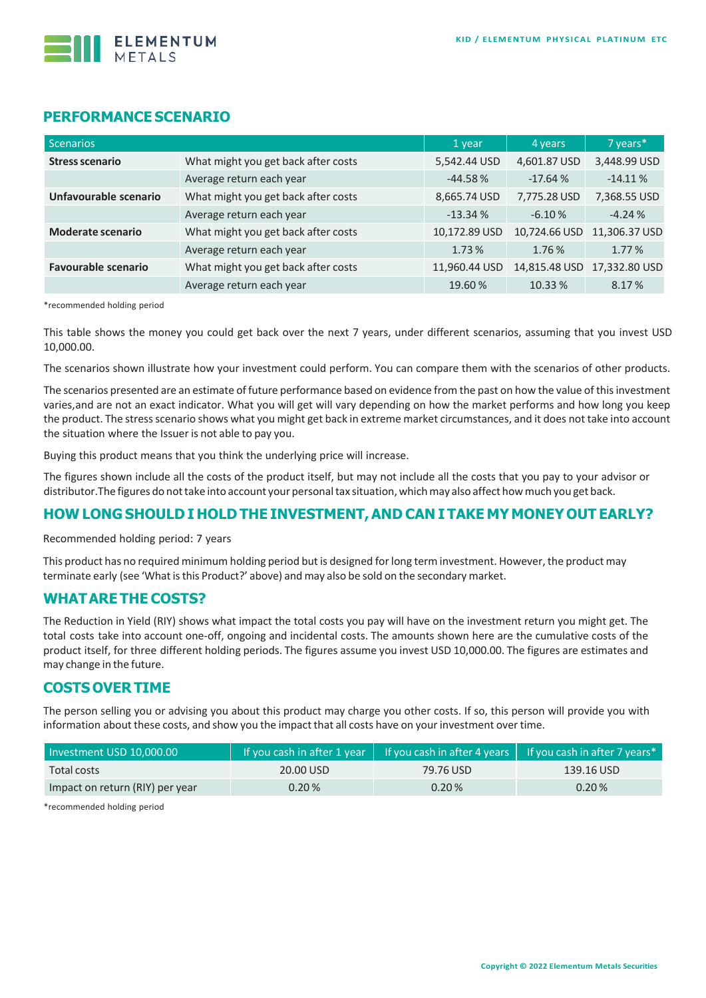

## **PERFORMANCE SCENARIO**

| Scenarios                                                       |                                     | 1 year        | 4 years       | 7 years*      |
|-----------------------------------------------------------------|-------------------------------------|---------------|---------------|---------------|
| <b>Stress scenario</b>                                          | What might you get back after costs | 5,542.44 USD  | 4,601.87 USD  | 3,448.99 USD  |
|                                                                 | Average return each year            | $-44.58%$     | $-17.64%$     | $-14.11%$     |
| Unfavourable scenario                                           | What might you get back after costs | 8,665.74 USD  | 7,775.28 USD  | 7,368.55 USD  |
|                                                                 | Average return each year            | $-13.34%$     | $-6.10%$      | $-4.24%$      |
| What might you get back after costs<br><b>Moderate scenario</b> |                                     | 10,172.89 USD | 10,724.66 USD | 11,306.37 USD |
|                                                                 | Average return each year            | 1.73%         | 1.76 %        | 1.77%         |
| <b>Favourable scenario</b>                                      | What might you get back after costs | 11,960.44 USD | 14,815.48 USD | 17,332.80 USD |
|                                                                 | Average return each year            | 19.60%        | 10.33 %       | 8.17%         |

\*recommended holding period

This table shows the money you could get back over the next 7 years, under different scenarios, assuming that you invest USD 10,000.00.

The scenarios shown illustrate how your investment could perform. You can compare them with the scenarios of other products.

The scenarios presented are an estimate of future performance based on evidence from the past on how the value of this investment varies,and are not an exact indicator. What you will get will vary depending on how the market performs and how long you keep the product. The stressscenario shows what you might get back in extreme market circumstances, and it does not take into account the situation where the Issuer is not able to pay you.

Buying this product means that you think the underlying price will increase.

The figures shown include all the costs of the product itself, but may not include all the costs that you pay to your advisor or distributor.The figures do nottake into account your personaltax situation, whichmay also affect howmuch you get back.

## **HOW LONG SHOULD I HOLD THE INVESTMENT,AND CAN I TAKE MY MONEY OUT EARLY?**

Recommended holding period: 7 years

This product has no required minimum holding period but is designed forlong term investment. However, the product may terminate early (see 'What is this Product?' above) and may also be sold on the secondary market.

#### **WHATARE THE COSTS?**

The Reduction in Yield (RIY) shows what impact the total costs you pay will have on the investment return you might get. The total costs take into account one-off, ongoing and incidental costs. The amounts shown here are the cumulative costs of the product itself, for three different holding periods. The figures assume you invest USD 10,000.00. The figures are estimates and may change in the future.

## **COSTS OVER TIME**

The person selling you or advising you about this product may charge you other costs. If so, this person will provide you with information about these costs, and show you the impact that all costs have on your investment over time.

| Investment USD 10,000.00        |           |           | If you cash in after 1 year $\parallel$ If you cash in after 4 years $\parallel$ If you cash in after 7 years* |  |
|---------------------------------|-----------|-----------|----------------------------------------------------------------------------------------------------------------|--|
| Total costs                     | 20.00 USD | 79.76 USD | 139.16 USD                                                                                                     |  |
| Impact on return (RIY) per year | 0.20%     | 0.20%     | 0.20%                                                                                                          |  |

\*recommended holding period